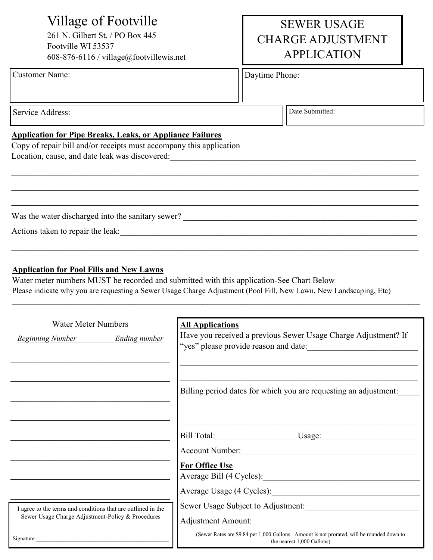# Village of Footville

261 N. Gilbert St. / PO Box 445 Footville WI 53537 608-876-6116 / village@footvillewis.net

## Customer Name:  $\vert$  Daytime Phone:

# SEWER USAGE CHARGE ADJUSTMENT APPLICATION

Service Address:

Date Submitted:

## **Application for Pipe Breaks, Leaks, or Appliance Failures**

Copy of repair bill and/or receipts must accompany this application Location, cause, and date leak was discovered:

Was the water discharged into the sanitary sewer? \_\_\_\_\_\_\_\_\_\_\_\_\_\_\_\_\_\_\_\_\_\_\_\_\_\_\_\_\_\_

Actions taken to repair the leak:

## **Application for Pool Fills and New Lawns**

Water meter numbers MUST be recorded and submitted with this application-See Chart Below Please indicate why you are requesting a Sewer Usage Charge Adjustment (Pool Fill, New Lawn, New Landscaping, Etc)

 $\mathcal{L}_\mathcal{L} = \mathcal{L}_\mathcal{L} = \mathcal{L}_\mathcal{L} = \mathcal{L}_\mathcal{L} = \mathcal{L}_\mathcal{L} = \mathcal{L}_\mathcal{L} = \mathcal{L}_\mathcal{L} = \mathcal{L}_\mathcal{L} = \mathcal{L}_\mathcal{L} = \mathcal{L}_\mathcal{L} = \mathcal{L}_\mathcal{L} = \mathcal{L}_\mathcal{L} = \mathcal{L}_\mathcal{L} = \mathcal{L}_\mathcal{L} = \mathcal{L}_\mathcal{L} = \mathcal{L}_\mathcal{L} = \mathcal{L}_\mathcal{L}$ 

\_\_\_\_\_\_\_\_\_\_\_\_\_\_\_\_\_\_\_\_\_\_\_\_\_\_\_\_\_\_\_\_\_\_\_\_\_\_\_\_\_\_\_\_\_\_\_\_\_\_\_\_\_\_\_\_\_\_\_\_\_\_\_\_\_\_\_\_\_\_\_\_\_\_\_\_\_\_\_\_\_\_\_\_\_\_\_\_\_\_\_\_\_\_\_\_

| <b>Water Meter Numbers</b>                                   | <b>All Applications</b>                                                                                                  |
|--------------------------------------------------------------|--------------------------------------------------------------------------------------------------------------------------|
| <b>Beginning Number</b> Ending number                        | Have you received a previous Sewer Usage Charge Adjustment? If                                                           |
|                                                              | "yes" please provide reason and date:                                                                                    |
|                                                              |                                                                                                                          |
|                                                              |                                                                                                                          |
|                                                              | Billing period dates for which you are requesting an adjustment:                                                         |
|                                                              |                                                                                                                          |
|                                                              |                                                                                                                          |
|                                                              | Bill Total: Usage: Usage:                                                                                                |
|                                                              | Account Number:                                                                                                          |
|                                                              | <b>For Office Use</b>                                                                                                    |
|                                                              |                                                                                                                          |
|                                                              |                                                                                                                          |
| I agree to the terms and conditions that are outlined in the | Sewer Usage Subject to Adjustment:                                                                                       |
| Sewer Usage Charge Adjustment-Policy & Procedures            | Adjustment Amount: National Amount:                                                                                      |
| Signature:                                                   | (Sewer Rates are \$9.84 per 1,000 Gallons. Amount is not prorated, will be rounded down to<br>the nearest 1,000 Gallons) |